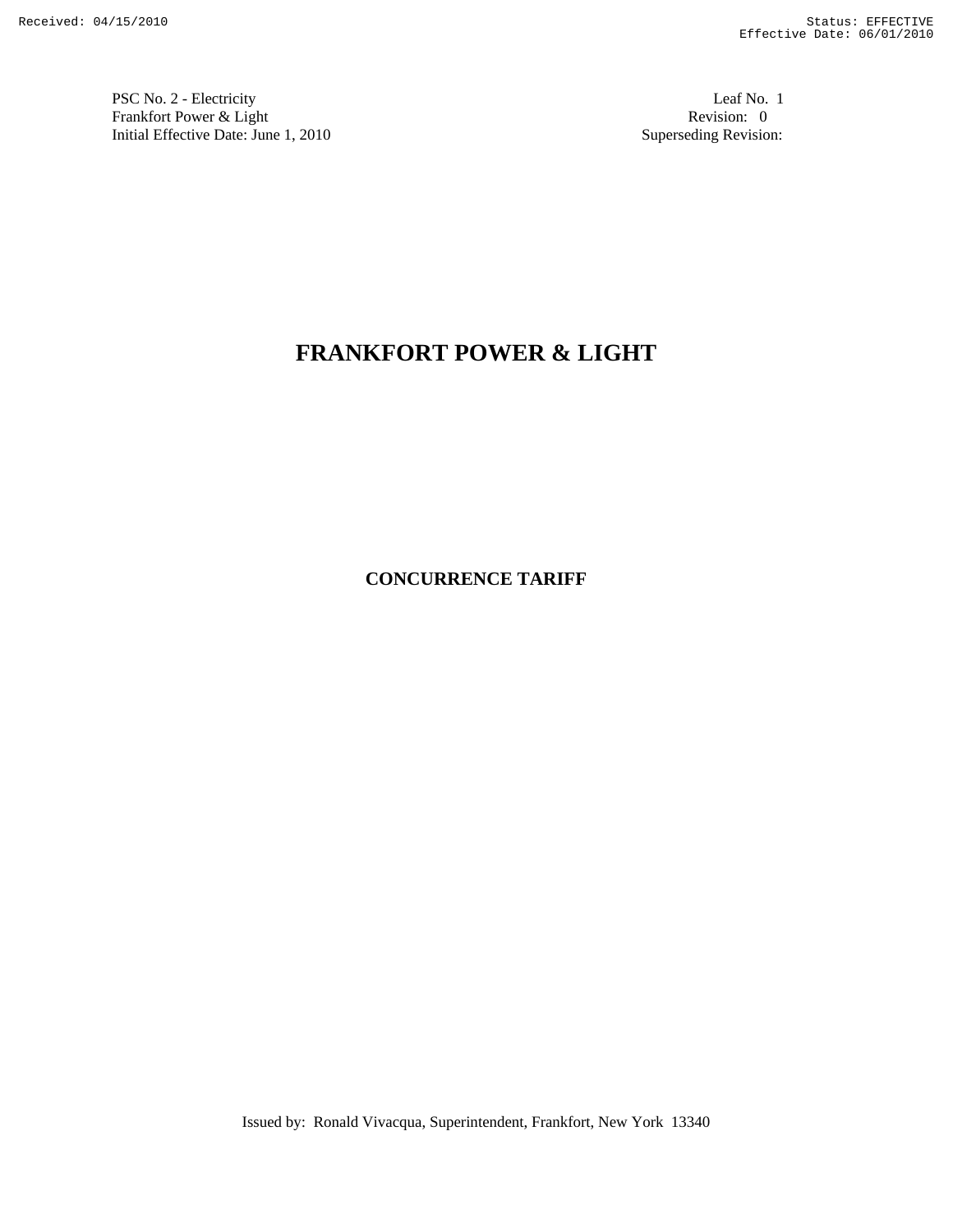PSC No. 2 - Electricity Leaf No. 1 Frankfort Power & Light Revision: 0<br>
Initial Effective Date: June 1, 2010<br>
Superseding Revision: 0 Initial Effective Date: June 1, 2010

# **FRANKFORT POWER & LIGHT**

**CONCURRENCE TARIFF** 

Issued by: Ronald Vivacqua, Superintendent, Frankfort, New York 13340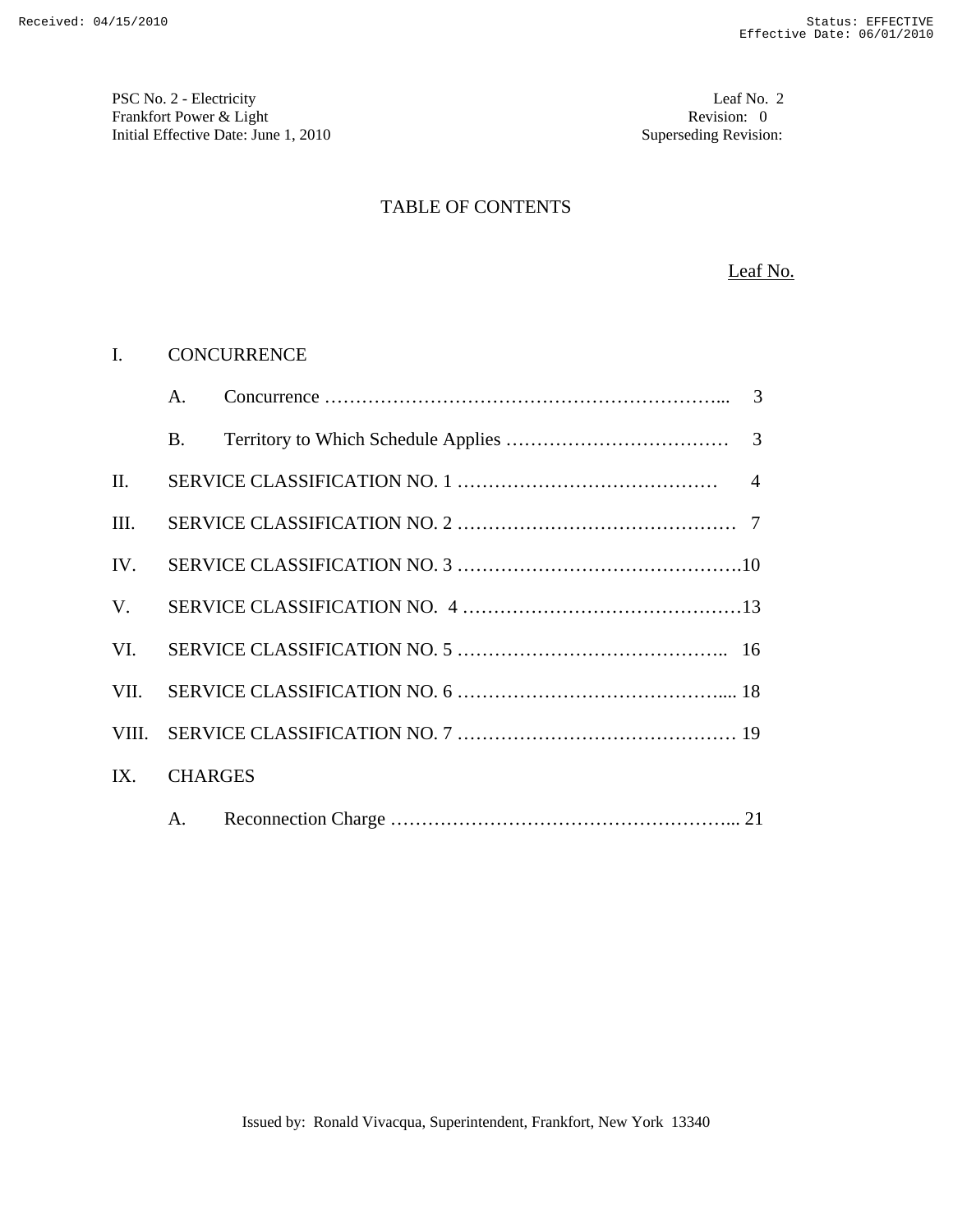PSC No. 2 - Electricity Leaf No. 2 Frankfort Power & Light Revision: 0 Initial Effective Date: June 1, 2010 **Superseding Revision:** 

## TABLE OF CONTENTS

#### Leaf No.

#### I. CONCURRENCE

|             | A.             |  |
|-------------|----------------|--|
|             | B.             |  |
| II.         |                |  |
| III.        |                |  |
| IV.         |                |  |
| $V_{\cdot}$ |                |  |
| VI.         |                |  |
| VII.        |                |  |
| VIII.       |                |  |
| IX.         | <b>CHARGES</b> |  |
|             | A.             |  |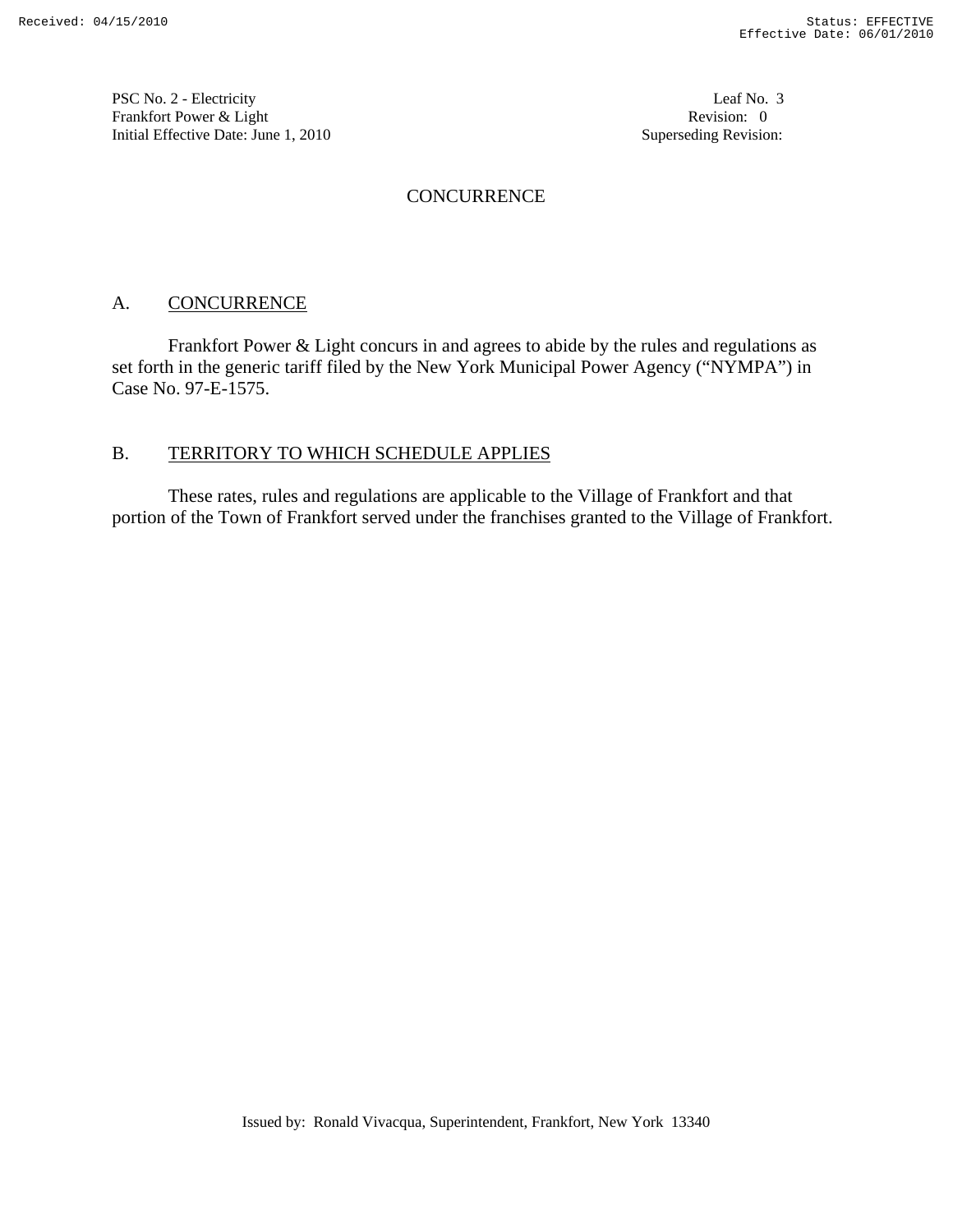PSC No. 2 - Electricity Leaf No. 3 Frankfort Power & Light Revision: 0 Initial Effective Date: June 1, 2010 **Superseding Revision:** Superseding Revision:

## **CONCURRENCE**

# A. CONCURRENCE

 Frankfort Power & Light concurs in and agrees to abide by the rules and regulations as set forth in the generic tariff filed by the New York Municipal Power Agency ("NYMPA") in Case No. 97-E-1575.

## B. TERRITORY TO WHICH SCHEDULE APPLIES

 These rates, rules and regulations are applicable to the Village of Frankfort and that portion of the Town of Frankfort served under the franchises granted to the Village of Frankfort.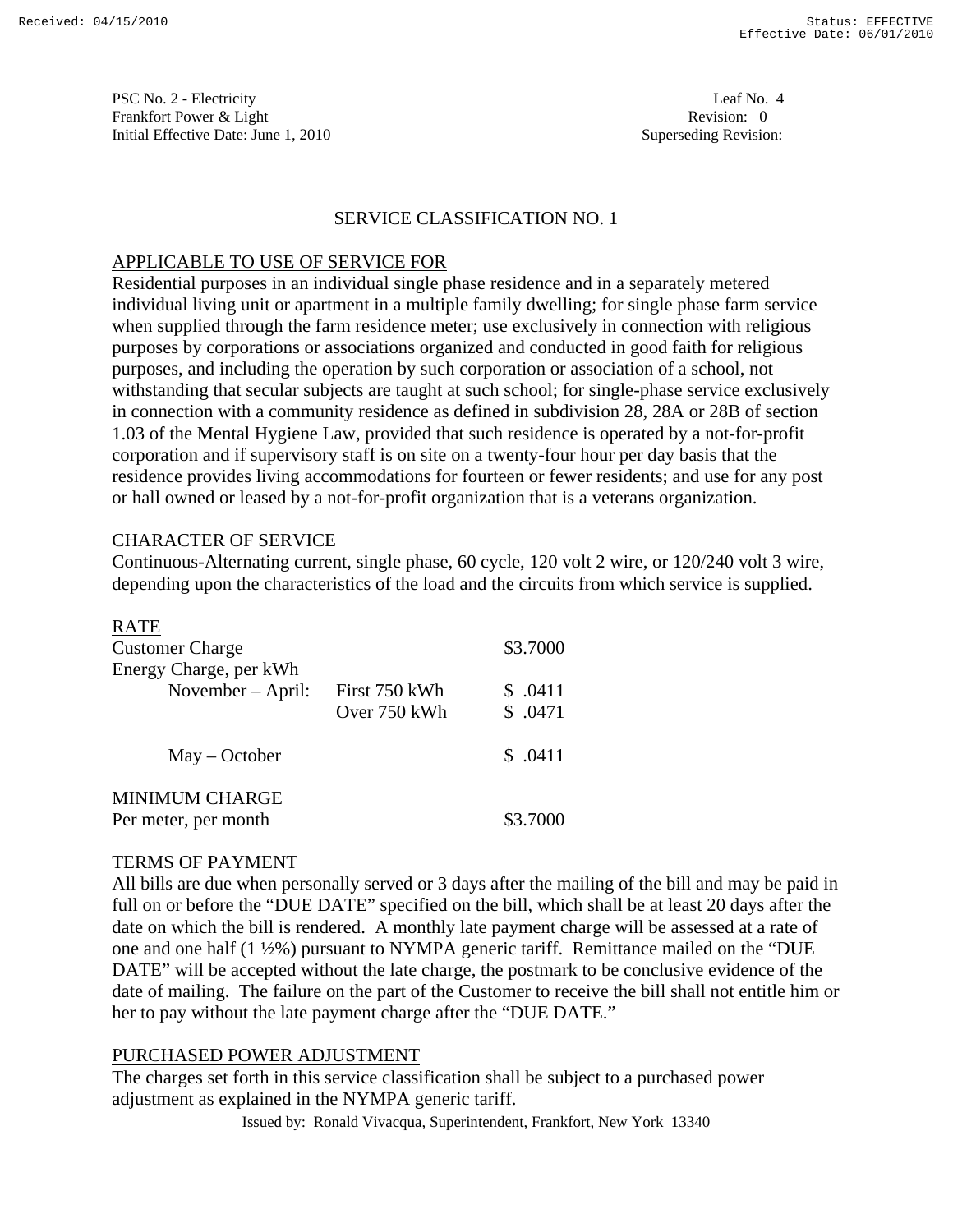PSC No. 2 - Electricity Leaf No. 4 Frankfort Power & Light Revision: 0 Initial Effective Date: June 1, 2010 **Superseding Revision:** Superseding Revision:

## SERVICE CLASSIFICATION NO. 1

## APPLICABLE TO USE OF SERVICE FOR

Residential purposes in an individual single phase residence and in a separately metered individual living unit or apartment in a multiple family dwelling; for single phase farm service when supplied through the farm residence meter; use exclusively in connection with religious purposes by corporations or associations organized and conducted in good faith for religious purposes, and including the operation by such corporation or association of a school, not withstanding that secular subjects are taught at such school; for single-phase service exclusively in connection with a community residence as defined in subdivision 28, 28A or 28B of section 1.03 of the Mental Hygiene Law, provided that such residence is operated by a not-for-profit corporation and if supervisory staff is on site on a twenty-four hour per day basis that the residence provides living accommodations for fourteen or fewer residents; and use for any post or hall owned or leased by a not-for-profit organization that is a veterans organization.

## CHARACTER OF SERVICE

Continuous-Alternating current, single phase, 60 cycle, 120 volt 2 wire, or 120/240 volt 3 wire, depending upon the characteristics of the load and the circuits from which service is supplied.

| <b>RATE</b>                                   |               |         |
|-----------------------------------------------|---------------|---------|
| <b>Customer Charge</b>                        | \$3.7000      |         |
| Energy Charge, per kWh                        |               |         |
| November $-$ April:                           | First 750 kWh | \$.0411 |
|                                               | Over 750 kWh  | \$.0471 |
| $May - October$                               |               | \$.0411 |
| <b>MINIMUM CHARGE</b><br>Per meter, per month | \$3.7000      |         |

#### TERMS OF PAYMENT

All bills are due when personally served or 3 days after the mailing of the bill and may be paid in full on or before the "DUE DATE" specified on the bill, which shall be at least 20 days after the date on which the bill is rendered. A monthly late payment charge will be assessed at a rate of one and one half (1 ½%) pursuant to NYMPA generic tariff. Remittance mailed on the "DUE DATE" will be accepted without the late charge, the postmark to be conclusive evidence of the date of mailing. The failure on the part of the Customer to receive the bill shall not entitle him or her to pay without the late payment charge after the "DUE DATE."

# PURCHASED POWER ADJUSTMENT

The charges set forth in this service classification shall be subject to a purchased power adjustment as explained in the NYMPA generic tariff.

Issued by: Ronald Vivacqua, Superintendent, Frankfort, New York 13340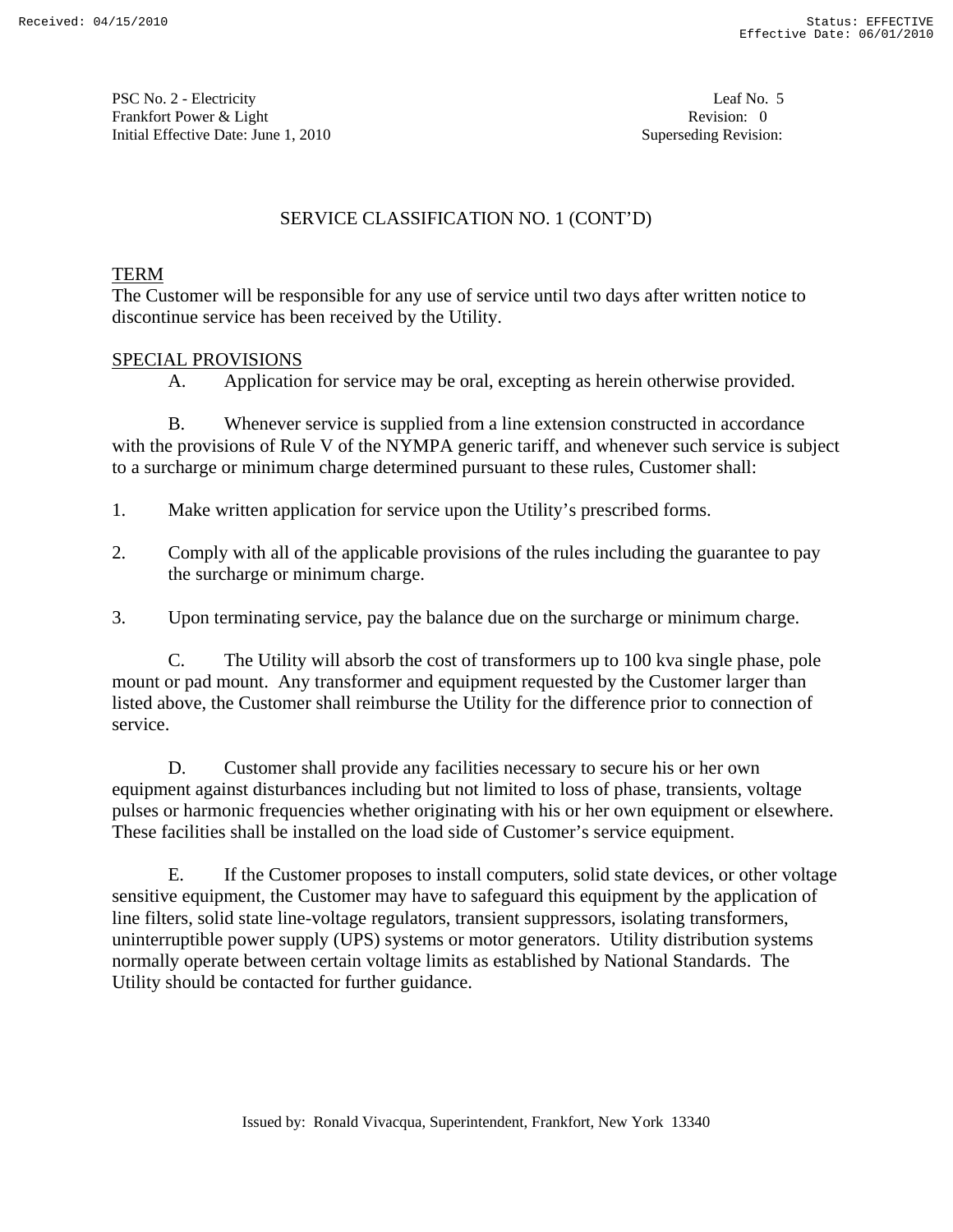PSC No. 2 - Electricity Leaf No. 5 Frankfort Power & Light Revision: 0 Initial Effective Date: June 1, 2010 **Superseding Revision:** Superseding Revision:

# SERVICE CLASSIFICATION NO. 1 (CONT'D)

# TERM

The Customer will be responsible for any use of service until two days after written notice to discontinue service has been received by the Utility.

# SPECIAL PROVISIONS

A. Application for service may be oral, excepting as herein otherwise provided.

 B. Whenever service is supplied from a line extension constructed in accordance with the provisions of Rule V of the NYMPA generic tariff, and whenever such service is subject to a surcharge or minimum charge determined pursuant to these rules, Customer shall:

- 1. Make written application for service upon the Utility's prescribed forms.
- 2. Comply with all of the applicable provisions of the rules including the guarantee to pay the surcharge or minimum charge.
- 3. Upon terminating service, pay the balance due on the surcharge or minimum charge.

 C. The Utility will absorb the cost of transformers up to 100 kva single phase, pole mount or pad mount. Any transformer and equipment requested by the Customer larger than listed above, the Customer shall reimburse the Utility for the difference prior to connection of service.

 D. Customer shall provide any facilities necessary to secure his or her own equipment against disturbances including but not limited to loss of phase, transients, voltage pulses or harmonic frequencies whether originating with his or her own equipment or elsewhere. These facilities shall be installed on the load side of Customer's service equipment.

 E. If the Customer proposes to install computers, solid state devices, or other voltage sensitive equipment, the Customer may have to safeguard this equipment by the application of line filters, solid state line-voltage regulators, transient suppressors, isolating transformers, uninterruptible power supply (UPS) systems or motor generators. Utility distribution systems normally operate between certain voltage limits as established by National Standards. The Utility should be contacted for further guidance.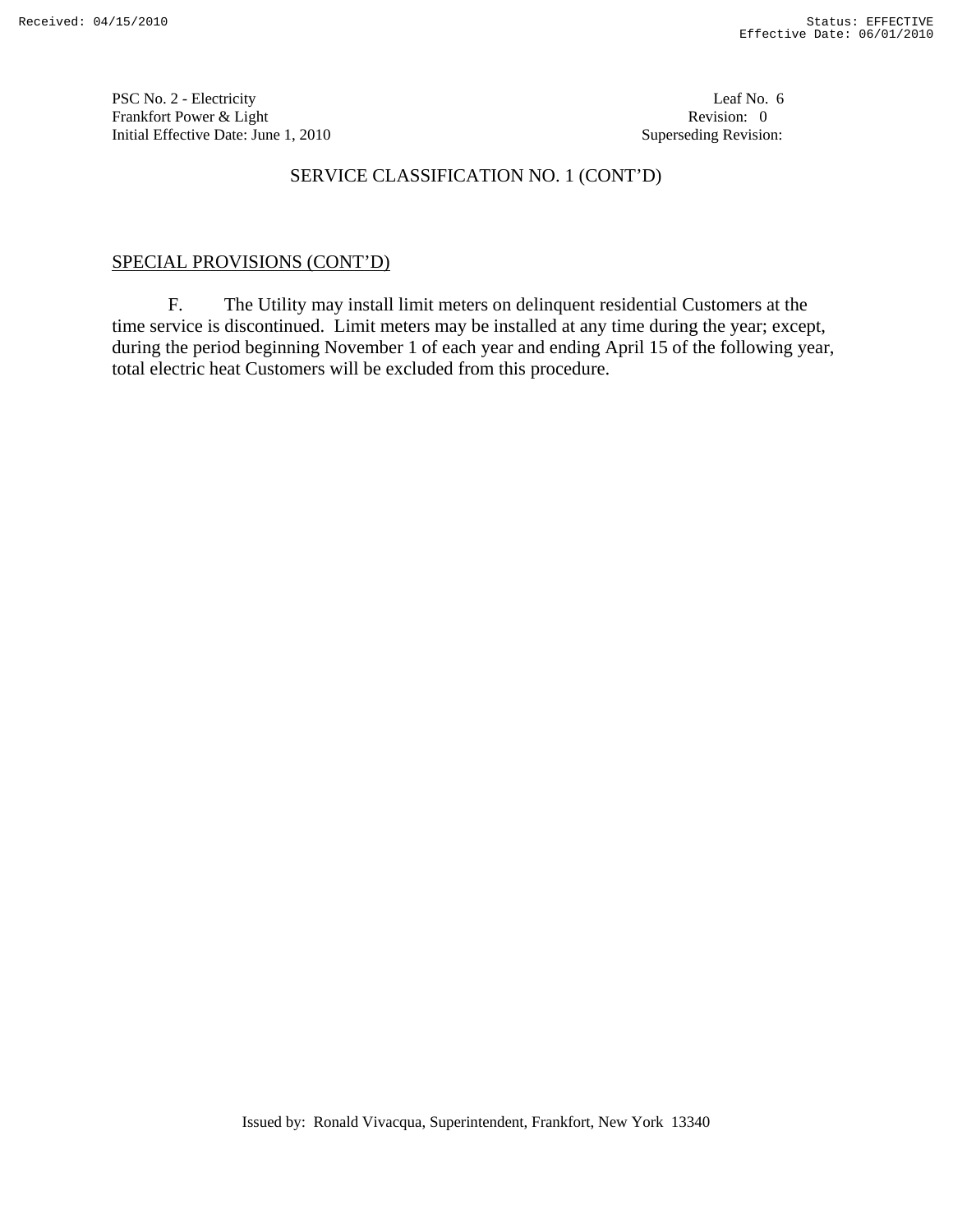PSC No. 2 - Electricity Leaf No. 6 Frankfort Power & Light Revision: 0 Initial Effective Date: June 1, 2010 **Superseding Revision:** 

# SERVICE CLASSIFICATION NO. 1 (CONT'D)

# SPECIAL PROVISIONS (CONT'D)

 F. The Utility may install limit meters on delinquent residential Customers at the time service is discontinued. Limit meters may be installed at any time during the year; except, during the period beginning November 1 of each year and ending April 15 of the following year, total electric heat Customers will be excluded from this procedure.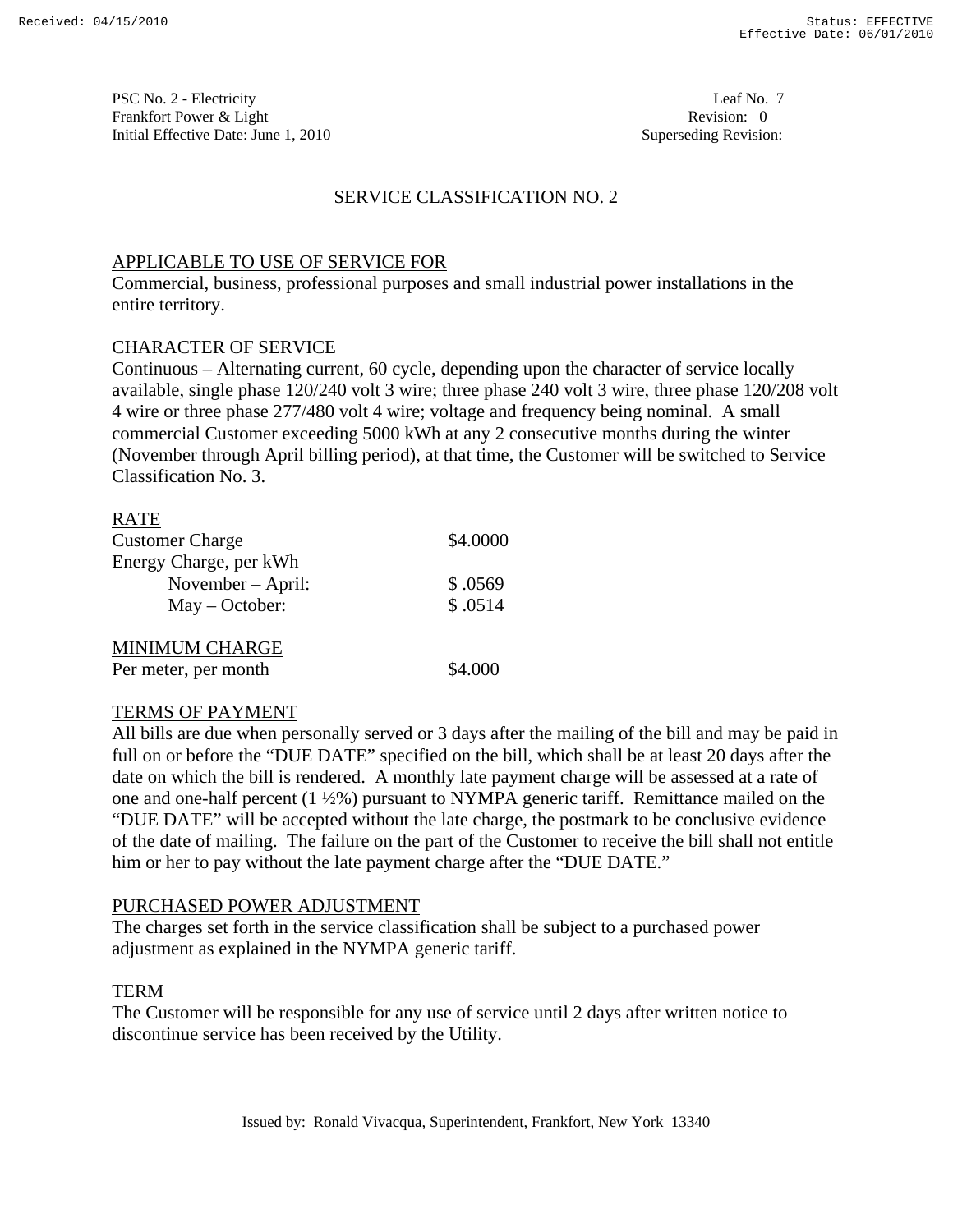PSC No. 2 - Electricity Leaf No. 7 Frankfort Power & Light Revision: 0 Initial Effective Date: June 1, 2010 **Superseding Revision:** Superseding Revision:

## SERVICE CLASSIFICATION NO. 2

## APPLICABLE TO USE OF SERVICE FOR

Commercial, business, professional purposes and small industrial power installations in the entire territory.

## CHARACTER OF SERVICE

Continuous – Alternating current, 60 cycle, depending upon the character of service locally available, single phase 120/240 volt 3 wire; three phase 240 volt 3 wire, three phase 120/208 volt 4 wire or three phase 277/480 volt 4 wire; voltage and frequency being nominal. A small commercial Customer exceeding 5000 kWh at any 2 consecutive months during the winter (November through April billing period), at that time, the Customer will be switched to Service Classification No. 3.

| <b>RATE</b>            |          |
|------------------------|----------|
| <b>Customer Charge</b> | \$4.0000 |
| Energy Charge, per kWh |          |
| November – April:      | \$.0569  |
| $May - October:$       | \$.0514  |
| <b>MINIMUM CHARGE</b>  |          |
| Per meter, per month   | \$4.000  |

#### TERMS OF PAYMENT

All bills are due when personally served or 3 days after the mailing of the bill and may be paid in full on or before the "DUE DATE" specified on the bill, which shall be at least 20 days after the date on which the bill is rendered. A monthly late payment charge will be assessed at a rate of one and one-half percent (1 ½%) pursuant to NYMPA generic tariff. Remittance mailed on the "DUE DATE" will be accepted without the late charge, the postmark to be conclusive evidence of the date of mailing. The failure on the part of the Customer to receive the bill shall not entitle him or her to pay without the late payment charge after the "DUE DATE."

#### PURCHASED POWER ADJUSTMENT

The charges set forth in the service classification shall be subject to a purchased power adjustment as explained in the NYMPA generic tariff.

#### TERM

The Customer will be responsible for any use of service until 2 days after written notice to discontinue service has been received by the Utility.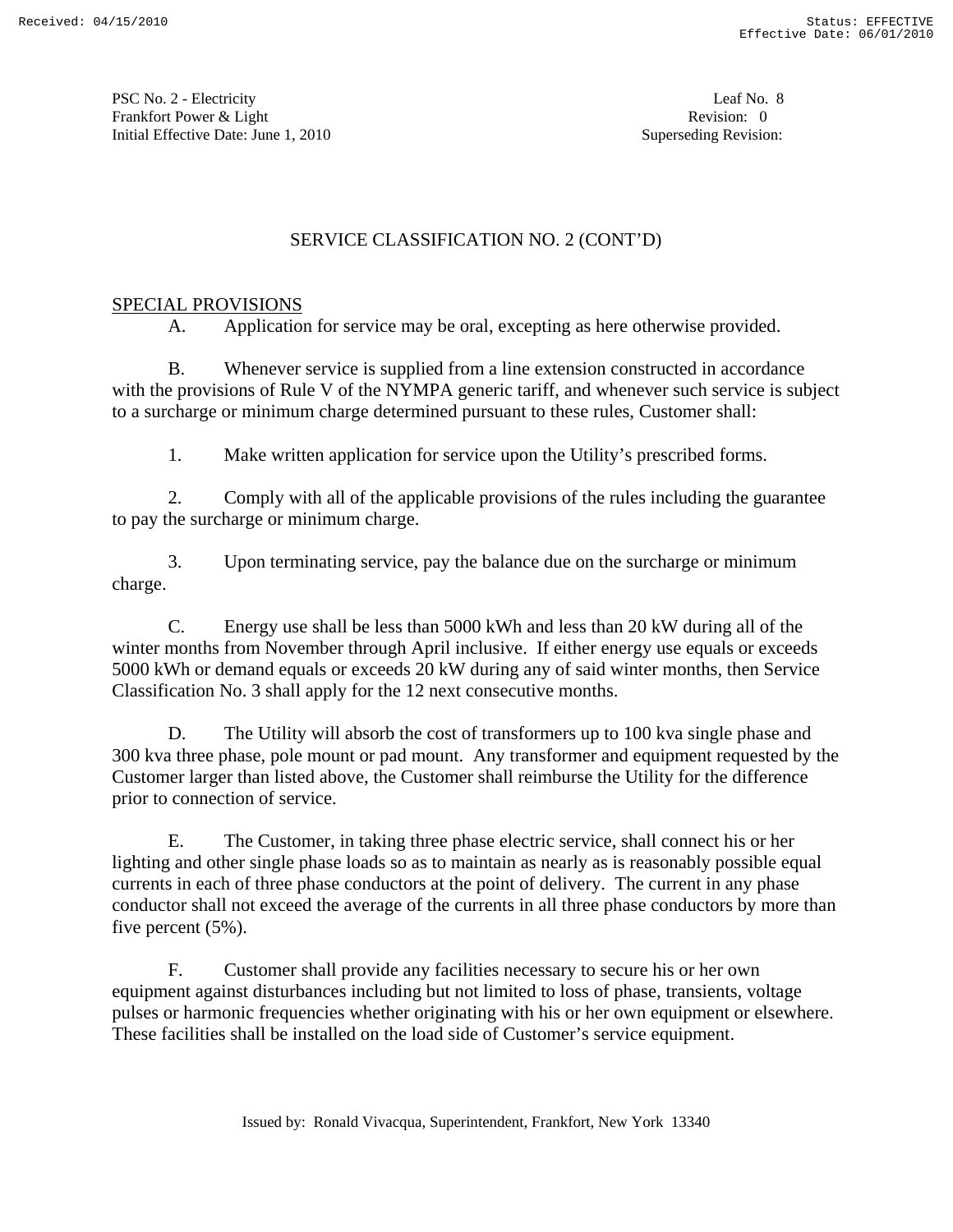PSC No. 2 - Electricity Leaf No. 8 Frankfort Power & Light Revision: 0 Initial Effective Date: June 1, 2010 **Superseding Revision:** Superseding Revision:

# SERVICE CLASSIFICATION NO. 2 (CONT'D)

## SPECIAL PROVISIONS

A. Application for service may be oral, excepting as here otherwise provided.

 B. Whenever service is supplied from a line extension constructed in accordance with the provisions of Rule V of the NYMPA generic tariff, and whenever such service is subject to a surcharge or minimum charge determined pursuant to these rules, Customer shall:

1. Make written application for service upon the Utility's prescribed forms.

 2. Comply with all of the applicable provisions of the rules including the guarantee to pay the surcharge or minimum charge.

 3. Upon terminating service, pay the balance due on the surcharge or minimum charge.

 C. Energy use shall be less than 5000 kWh and less than 20 kW during all of the winter months from November through April inclusive. If either energy use equals or exceeds 5000 kWh or demand equals or exceeds 20 kW during any of said winter months, then Service Classification No. 3 shall apply for the 12 next consecutive months.

D. The Utility will absorb the cost of transformers up to 100 kva single phase and 300 kva three phase, pole mount or pad mount. Any transformer and equipment requested by the Customer larger than listed above, the Customer shall reimburse the Utility for the difference prior to connection of service.

 E. The Customer, in taking three phase electric service, shall connect his or her lighting and other single phase loads so as to maintain as nearly as is reasonably possible equal currents in each of three phase conductors at the point of delivery. The current in any phase conductor shall not exceed the average of the currents in all three phase conductors by more than five percent (5%).

 F. Customer shall provide any facilities necessary to secure his or her own equipment against disturbances including but not limited to loss of phase, transients, voltage pulses or harmonic frequencies whether originating with his or her own equipment or elsewhere. These facilities shall be installed on the load side of Customer's service equipment.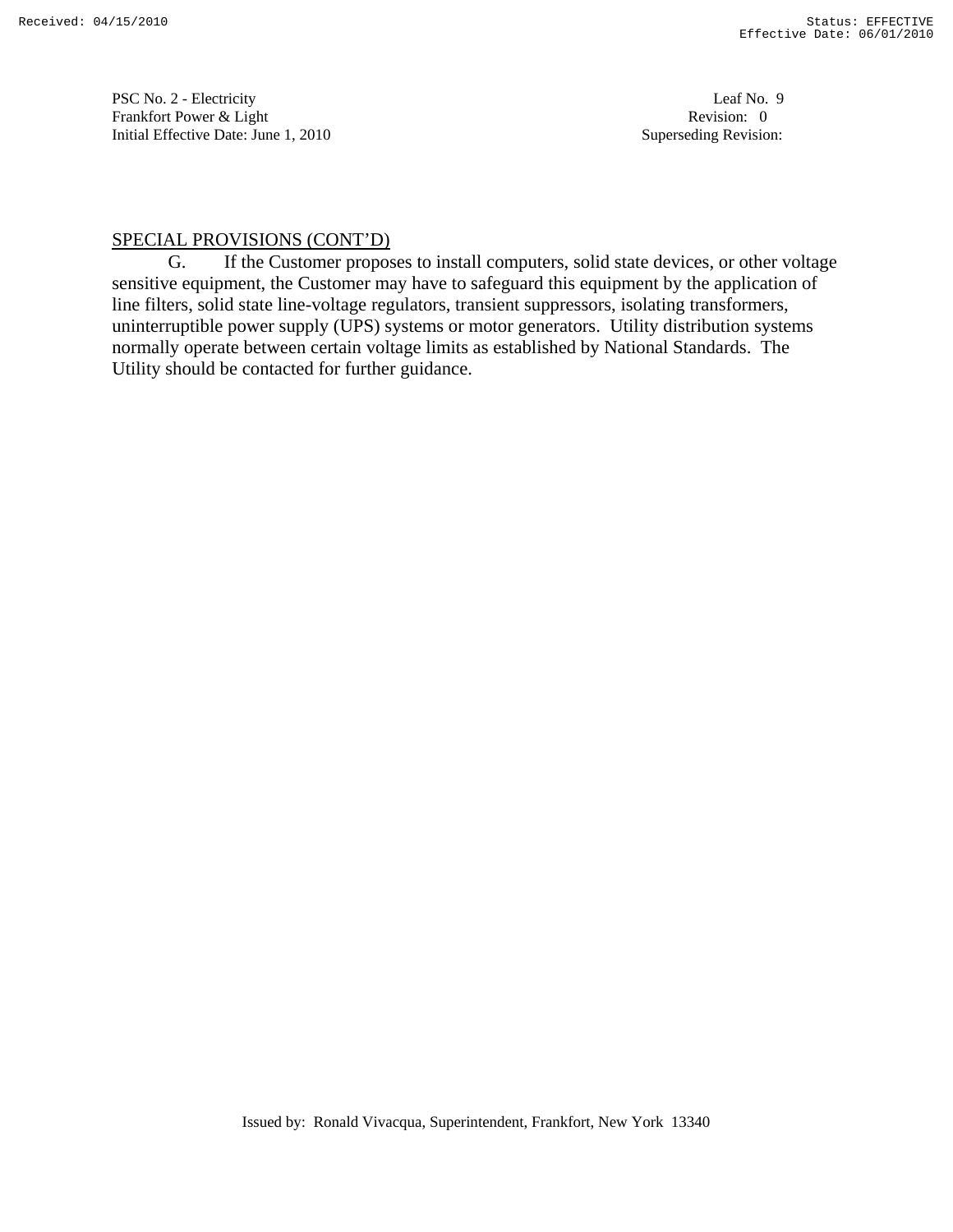PSC No. 2 - Electricity Leaf No. 9 Frankfort Power & Light Revision: 0 Initial Effective Date: June 1, 2010 **Superseding Revision:** Superseding Revision:

## SPECIAL PROVISIONS (CONT'D)

 G. If the Customer proposes to install computers, solid state devices, or other voltage sensitive equipment, the Customer may have to safeguard this equipment by the application of line filters, solid state line-voltage regulators, transient suppressors, isolating transformers, uninterruptible power supply (UPS) systems or motor generators. Utility distribution systems normally operate between certain voltage limits as established by National Standards. The Utility should be contacted for further guidance.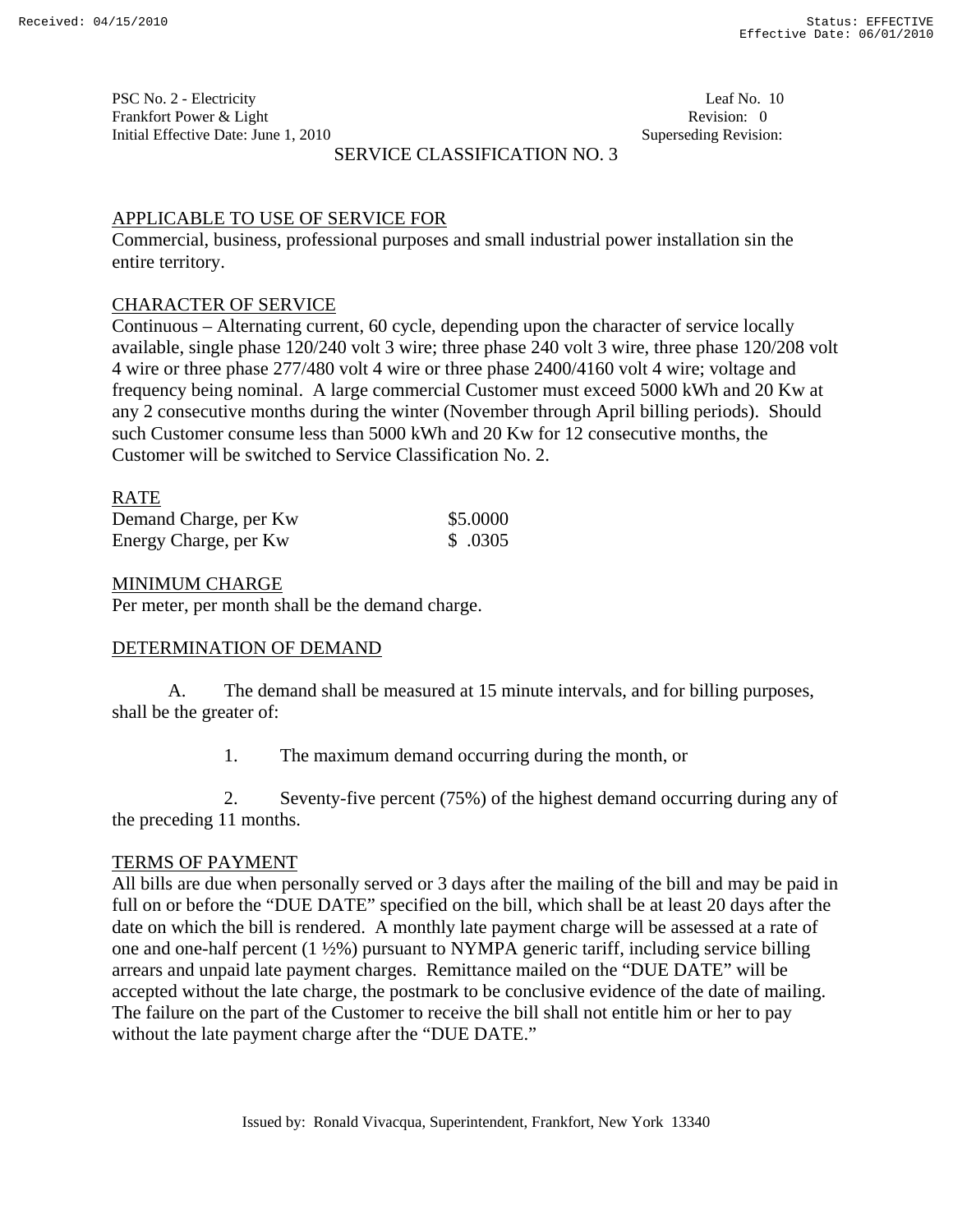PSC No. 2 - Electricity Leaf No. 10 Frankfort Power & Light Revision: 0 Initial Effective Date: June 1, 2010 **Superseding Revision:** Superseding Revision:

# SERVICE CLASSIFICATION NO. 3

# APPLICABLE TO USE OF SERVICE FOR

Commercial, business, professional purposes and small industrial power installation sin the entire territory.

## CHARACTER OF SERVICE

Continuous – Alternating current, 60 cycle, depending upon the character of service locally available, single phase 120/240 volt 3 wire; three phase 240 volt 3 wire, three phase 120/208 volt 4 wire or three phase 277/480 volt 4 wire or three phase 2400/4160 volt 4 wire; voltage and frequency being nominal. A large commercial Customer must exceed 5000 kWh and 20 Kw at any 2 consecutive months during the winter (November through April billing periods). Should such Customer consume less than 5000 kWh and 20 Kw for 12 consecutive months, the Customer will be switched to Service Classification No. 2.

## RATE

| Demand Charge, per Kw | \$5.0000 |
|-----------------------|----------|
| Energy Charge, per Kw | \$ .0305 |

#### MINIMUM CHARGE

Per meter, per month shall be the demand charge.

#### DETERMINATION OF DEMAND

 A. The demand shall be measured at 15 minute intervals, and for billing purposes, shall be the greater of:

1. The maximum demand occurring during the month, or

 2. Seventy-five percent (75%) of the highest demand occurring during any of the preceding 11 months.

#### TERMS OF PAYMENT

All bills are due when personally served or 3 days after the mailing of the bill and may be paid in full on or before the "DUE DATE" specified on the bill, which shall be at least 20 days after the date on which the bill is rendered. A monthly late payment charge will be assessed at a rate of one and one-half percent (1 ½%) pursuant to NYMPA generic tariff, including service billing arrears and unpaid late payment charges. Remittance mailed on the "DUE DATE" will be accepted without the late charge, the postmark to be conclusive evidence of the date of mailing. The failure on the part of the Customer to receive the bill shall not entitle him or her to pay without the late payment charge after the "DUE DATE."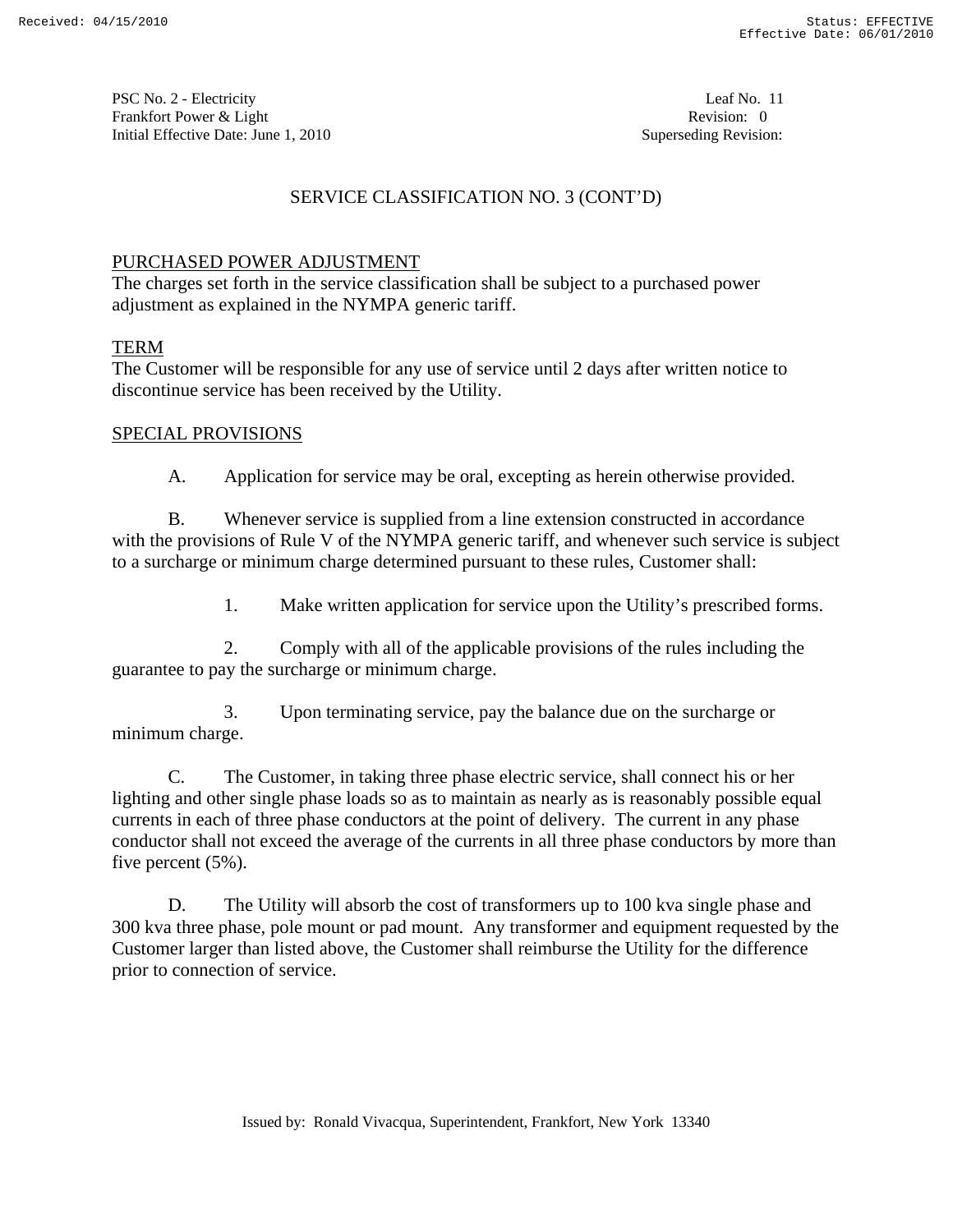PSC No. 2 - Electricity Leaf No. 11 Frankfort Power & Light Revision: 0 Initial Effective Date: June 1, 2010 **Superseding Revision:** Superseding Revision:

# SERVICE CLASSIFICATION NO. 3 (CONT'D)

# PURCHASED POWER ADJUSTMENT

The charges set forth in the service classification shall be subject to a purchased power adjustment as explained in the NYMPA generic tariff.

# TERM

The Customer will be responsible for any use of service until 2 days after written notice to discontinue service has been received by the Utility.

## SPECIAL PROVISIONS

A. Application for service may be oral, excepting as herein otherwise provided.

 B. Whenever service is supplied from a line extension constructed in accordance with the provisions of Rule V of the NYMPA generic tariff, and whenever such service is subject to a surcharge or minimum charge determined pursuant to these rules, Customer shall:

1. Make written application for service upon the Utility's prescribed forms.

 2. Comply with all of the applicable provisions of the rules including the guarantee to pay the surcharge or minimum charge.

 3. Upon terminating service, pay the balance due on the surcharge or minimum charge.

 C. The Customer, in taking three phase electric service, shall connect his or her lighting and other single phase loads so as to maintain as nearly as is reasonably possible equal currents in each of three phase conductors at the point of delivery. The current in any phase conductor shall not exceed the average of the currents in all three phase conductors by more than five percent (5%).

 D. The Utility will absorb the cost of transformers up to 100 kva single phase and 300 kva three phase, pole mount or pad mount. Any transformer and equipment requested by the Customer larger than listed above, the Customer shall reimburse the Utility for the difference prior to connection of service.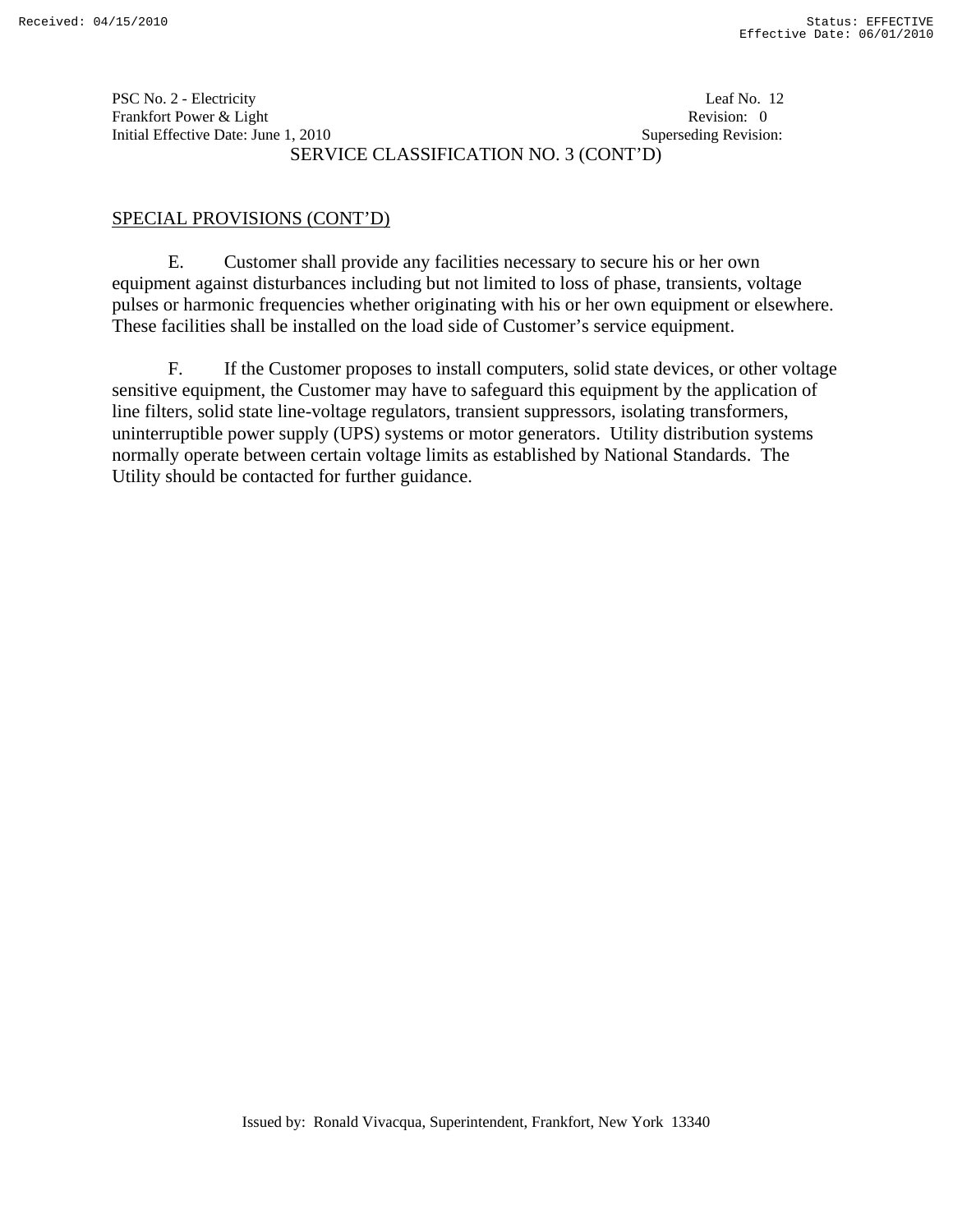PSC No. 2 - Electricity Leaf No. 12 Frankfort Power & Light Revision: 0 Initial Effective Date: June 1, 2010 **Superseding Revision:** Superseding Revision: SERVICE CLASSIFICATION NO. 3 (CONT'D)

# SPECIAL PROVISIONS (CONT'D)

 E. Customer shall provide any facilities necessary to secure his or her own equipment against disturbances including but not limited to loss of phase, transients, voltage pulses or harmonic frequencies whether originating with his or her own equipment or elsewhere. These facilities shall be installed on the load side of Customer's service equipment.

 F. If the Customer proposes to install computers, solid state devices, or other voltage sensitive equipment, the Customer may have to safeguard this equipment by the application of line filters, solid state line-voltage regulators, transient suppressors, isolating transformers, uninterruptible power supply (UPS) systems or motor generators. Utility distribution systems normally operate between certain voltage limits as established by National Standards. The Utility should be contacted for further guidance.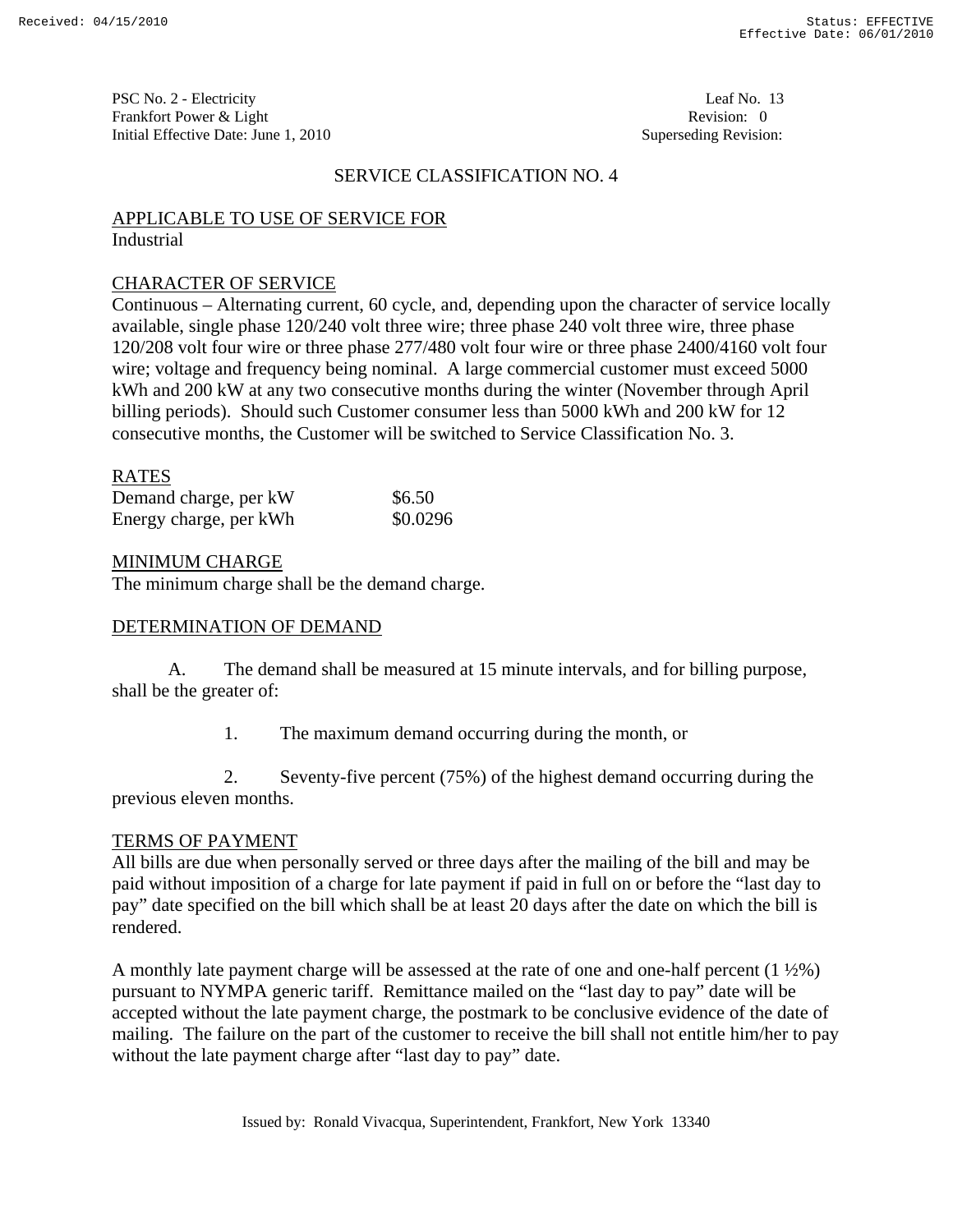PSC No. 2 - Electricity Leaf No. 13 Frankfort Power & Light Revision: 0 Initial Effective Date: June 1, 2010 **Superseding Revision:** Superseding Revision:

#### SERVICE CLASSIFICATION NO. 4

#### APPLICABLE TO USE OF SERVICE FOR Industrial

#### CHARACTER OF SERVICE

Continuous – Alternating current, 60 cycle, and, depending upon the character of service locally available, single phase 120/240 volt three wire; three phase 240 volt three wire, three phase 120/208 volt four wire or three phase 277/480 volt four wire or three phase 2400/4160 volt four wire; voltage and frequency being nominal. A large commercial customer must exceed 5000 kWh and 200 kW at any two consecutive months during the winter (November through April billing periods). Should such Customer consumer less than 5000 kWh and 200 kW for 12 consecutive months, the Customer will be switched to Service Classification No. 3.

#### RATES

| Demand charge, per kW  | \$6.50   |
|------------------------|----------|
| Energy charge, per kWh | \$0.0296 |

#### MINIMUM CHARGE

The minimum charge shall be the demand charge.

## DETERMINATION OF DEMAND

 A. The demand shall be measured at 15 minute intervals, and for billing purpose, shall be the greater of:

1. The maximum demand occurring during the month, or

 2. Seventy-five percent (75%) of the highest demand occurring during the previous eleven months.

#### TERMS OF PAYMENT

All bills are due when personally served or three days after the mailing of the bill and may be paid without imposition of a charge for late payment if paid in full on or before the "last day to pay" date specified on the bill which shall be at least 20 days after the date on which the bill is rendered.

A monthly late payment charge will be assessed at the rate of one and one-half percent  $(1\frac{1}{2}\%)$ pursuant to NYMPA generic tariff. Remittance mailed on the "last day to pay" date will be accepted without the late payment charge, the postmark to be conclusive evidence of the date of mailing. The failure on the part of the customer to receive the bill shall not entitle him/her to pay without the late payment charge after "last day to pay" date.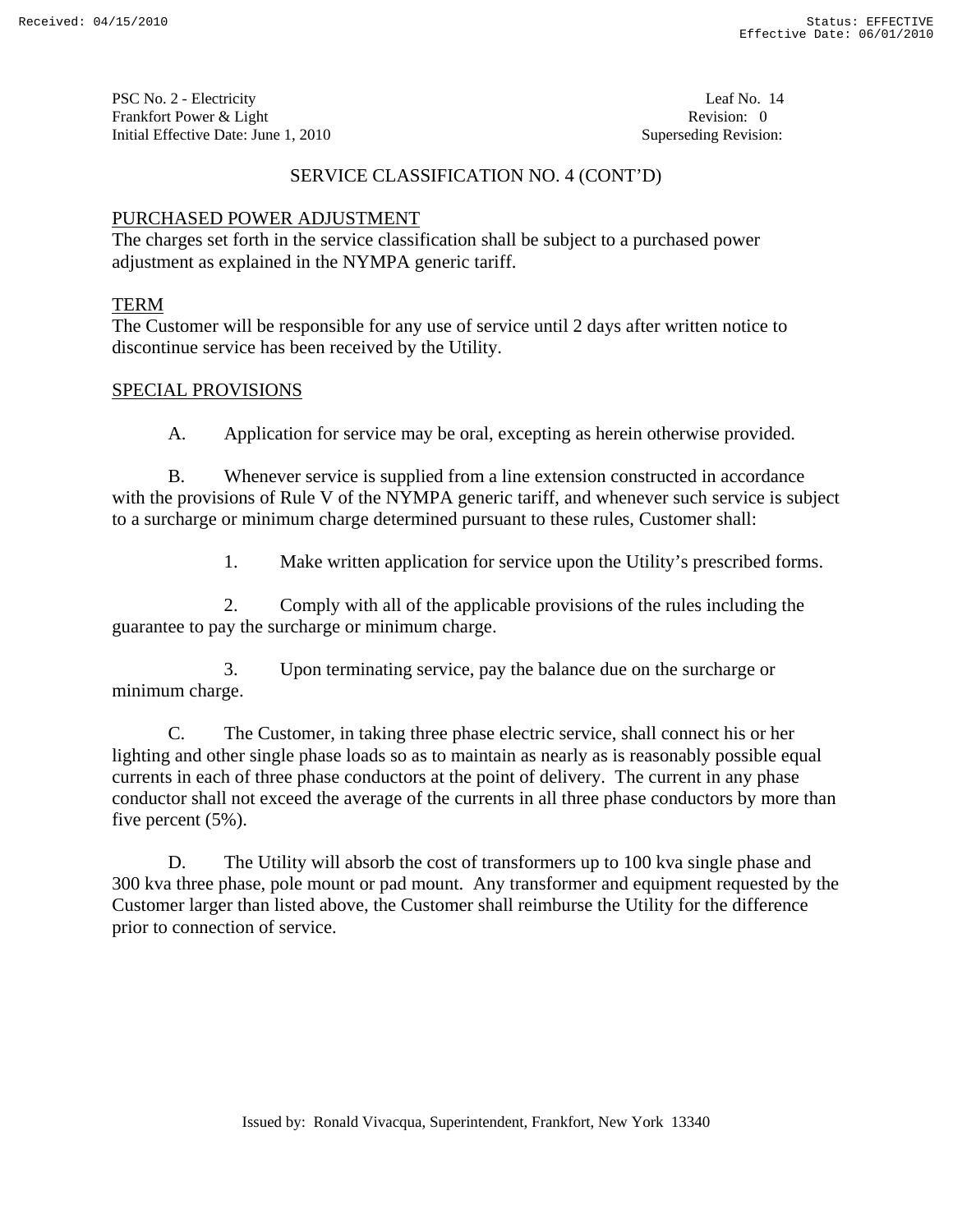PSC No. 2 - Electricity Leaf No. 14 Frankfort Power & Light Revision: 0 Initial Effective Date: June 1, 2010 **Superseding Revision:** Superseding Revision:

# SERVICE CLASSIFICATION NO. 4 (CONT'D)

# PURCHASED POWER ADJUSTMENT

The charges set forth in the service classification shall be subject to a purchased power adjustment as explained in the NYMPA generic tariff.

# TERM

The Customer will be responsible for any use of service until 2 days after written notice to discontinue service has been received by the Utility.

# SPECIAL PROVISIONS

A. Application for service may be oral, excepting as herein otherwise provided.

 B. Whenever service is supplied from a line extension constructed in accordance with the provisions of Rule V of the NYMPA generic tariff, and whenever such service is subject to a surcharge or minimum charge determined pursuant to these rules, Customer shall:

1. Make written application for service upon the Utility's prescribed forms.

 2. Comply with all of the applicable provisions of the rules including the guarantee to pay the surcharge or minimum charge.

 3. Upon terminating service, pay the balance due on the surcharge or minimum charge.

 C. The Customer, in taking three phase electric service, shall connect his or her lighting and other single phase loads so as to maintain as nearly as is reasonably possible equal currents in each of three phase conductors at the point of delivery. The current in any phase conductor shall not exceed the average of the currents in all three phase conductors by more than five percent (5%).

 D. The Utility will absorb the cost of transformers up to 100 kva single phase and 300 kva three phase, pole mount or pad mount. Any transformer and equipment requested by the Customer larger than listed above, the Customer shall reimburse the Utility for the difference prior to connection of service.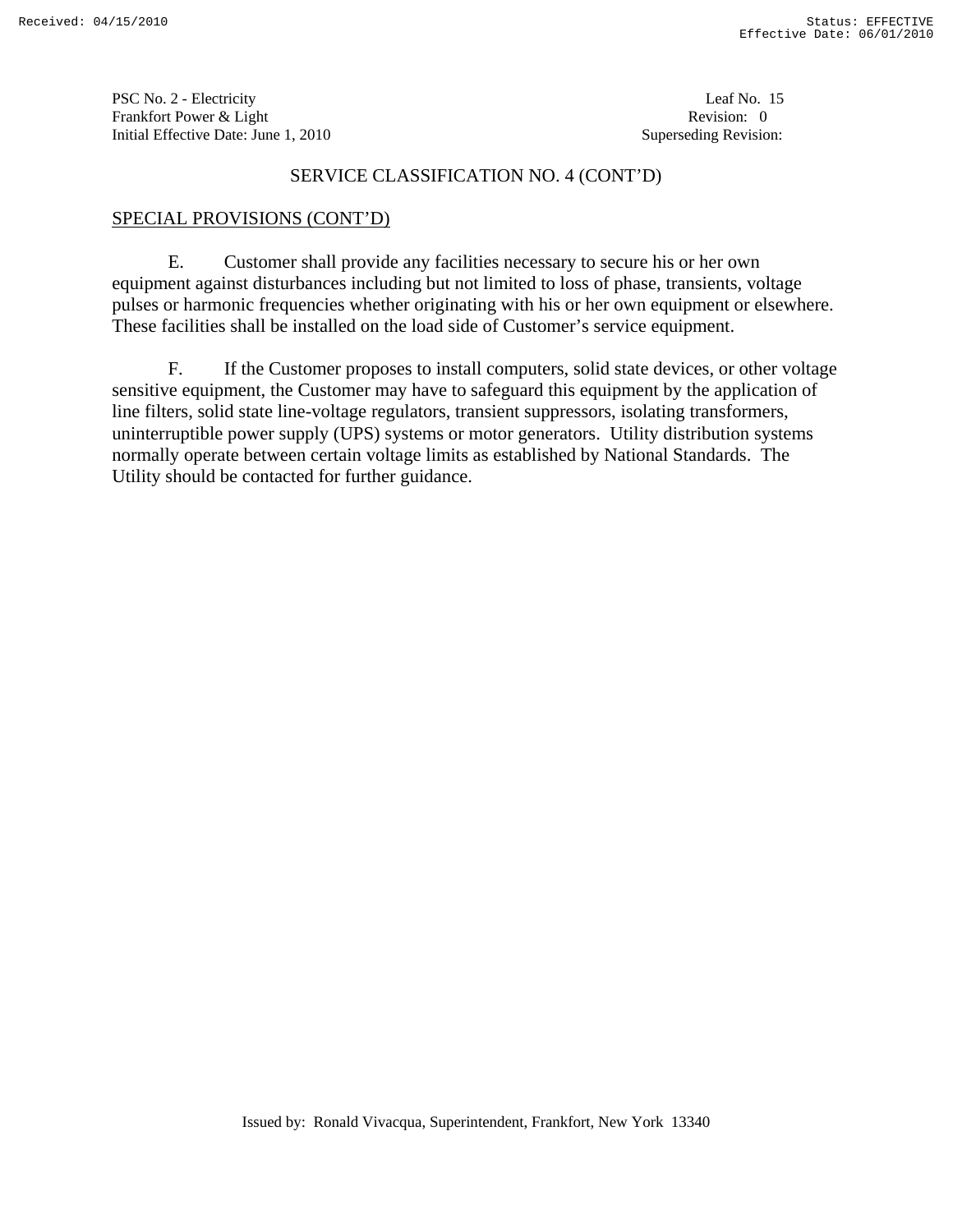PSC No. 2 - Electricity Leaf No. 15 Frankfort Power & Light Revision: 0 Initial Effective Date: June 1, 2010 **Superseding Revision:** Superseding Revision:

## SERVICE CLASSIFICATION NO. 4 (CONT'D)

# SPECIAL PROVISIONS (CONT'D)

 E. Customer shall provide any facilities necessary to secure his or her own equipment against disturbances including but not limited to loss of phase, transients, voltage pulses or harmonic frequencies whether originating with his or her own equipment or elsewhere. These facilities shall be installed on the load side of Customer's service equipment.

 F. If the Customer proposes to install computers, solid state devices, or other voltage sensitive equipment, the Customer may have to safeguard this equipment by the application of line filters, solid state line-voltage regulators, transient suppressors, isolating transformers, uninterruptible power supply (UPS) systems or motor generators. Utility distribution systems normally operate between certain voltage limits as established by National Standards. The Utility should be contacted for further guidance.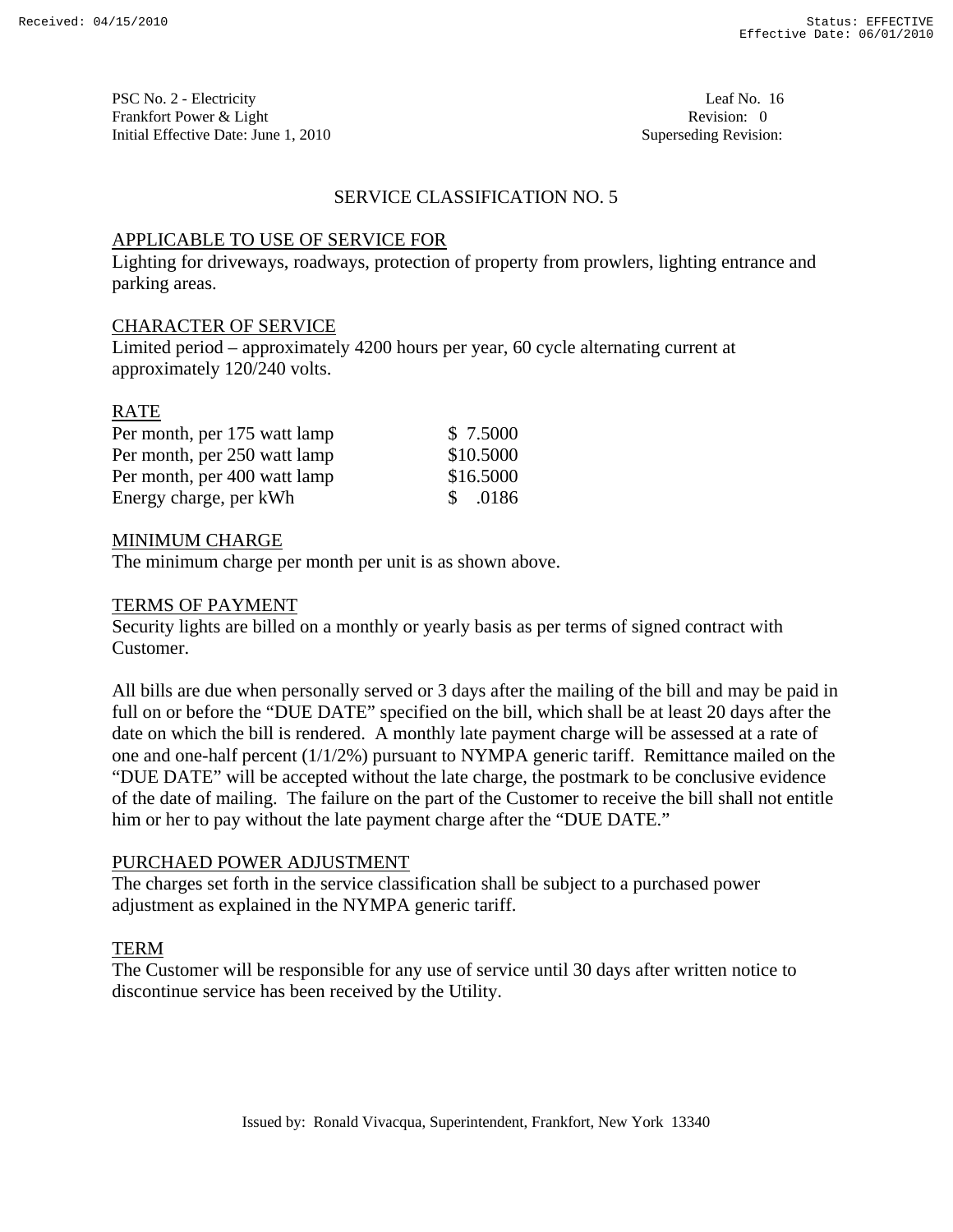PSC No. 2 - Electricity Leaf No. 16 Frankfort Power & Light Revision: 0 Initial Effective Date: June 1, 2010 **Superseding Revision:** Superseding Revision:

# SERVICE CLASSIFICATION NO. 5

## APPLICABLE TO USE OF SERVICE FOR

Lighting for driveways, roadways, protection of property from prowlers, lighting entrance and parking areas.

## CHARACTER OF SERVICE

Limited period – approximately 4200 hours per year, 60 cycle alternating current at approximately 120/240 volts.

## RATE

| Per month, per 175 watt lamp | \$ 7.5000   |
|------------------------------|-------------|
| Per month, per 250 watt lamp | \$10.5000   |
| Per month, per 400 watt lamp | \$16.5000   |
| Energy charge, per kWh       | .0186<br>S. |

#### MINIMUM CHARGE

The minimum charge per month per unit is as shown above.

#### TERMS OF PAYMENT

Security lights are billed on a monthly or yearly basis as per terms of signed contract with Customer.

All bills are due when personally served or 3 days after the mailing of the bill and may be paid in full on or before the "DUE DATE" specified on the bill, which shall be at least 20 days after the date on which the bill is rendered. A monthly late payment charge will be assessed at a rate of one and one-half percent (1/1/2%) pursuant to NYMPA generic tariff. Remittance mailed on the "DUE DATE" will be accepted without the late charge, the postmark to be conclusive evidence of the date of mailing. The failure on the part of the Customer to receive the bill shall not entitle him or her to pay without the late payment charge after the "DUE DATE."

#### PURCHAED POWER ADJUSTMENT

The charges set forth in the service classification shall be subject to a purchased power adjustment as explained in the NYMPA generic tariff.

# TERM

The Customer will be responsible for any use of service until 30 days after written notice to discontinue service has been received by the Utility.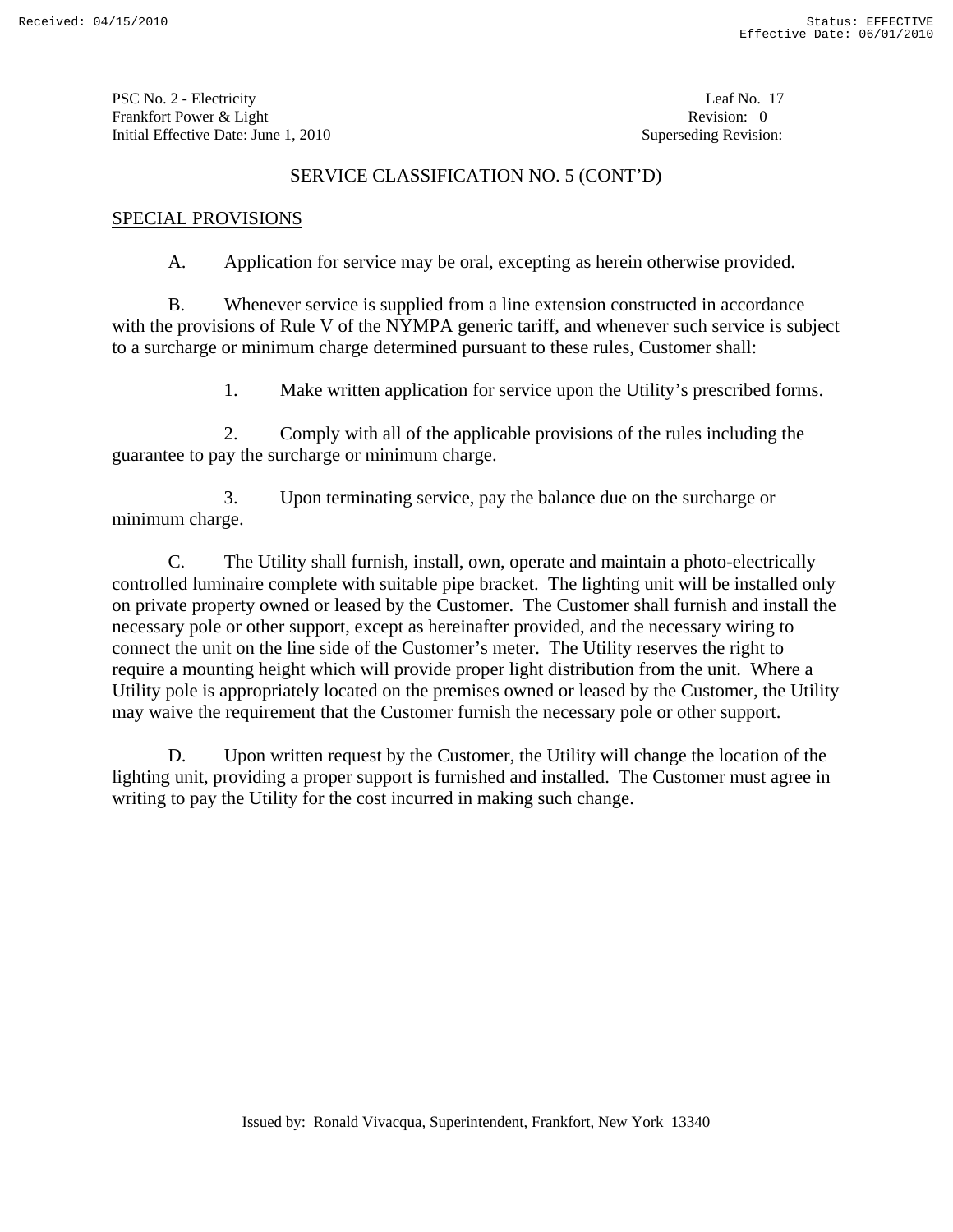PSC No. 2 - Electricity Leaf No. 17 Frankfort Power & Light Revision: 0 Initial Effective Date: June 1, 2010 **Superseding Revision:** Superseding Revision:

## SERVICE CLASSIFICATION NO. 5 (CONT'D)

## SPECIAL PROVISIONS

A. Application for service may be oral, excepting as herein otherwise provided.

 B. Whenever service is supplied from a line extension constructed in accordance with the provisions of Rule V of the NYMPA generic tariff, and whenever such service is subject to a surcharge or minimum charge determined pursuant to these rules, Customer shall:

1. Make written application for service upon the Utility's prescribed forms.

 2. Comply with all of the applicable provisions of the rules including the guarantee to pay the surcharge or minimum charge.

 3. Upon terminating service, pay the balance due on the surcharge or minimum charge.

 C. The Utility shall furnish, install, own, operate and maintain a photo-electrically controlled luminaire complete with suitable pipe bracket. The lighting unit will be installed only on private property owned or leased by the Customer. The Customer shall furnish and install the necessary pole or other support, except as hereinafter provided, and the necessary wiring to connect the unit on the line side of the Customer's meter. The Utility reserves the right to require a mounting height which will provide proper light distribution from the unit. Where a Utility pole is appropriately located on the premises owned or leased by the Customer, the Utility may waive the requirement that the Customer furnish the necessary pole or other support.

 D. Upon written request by the Customer, the Utility will change the location of the lighting unit, providing a proper support is furnished and installed. The Customer must agree in writing to pay the Utility for the cost incurred in making such change.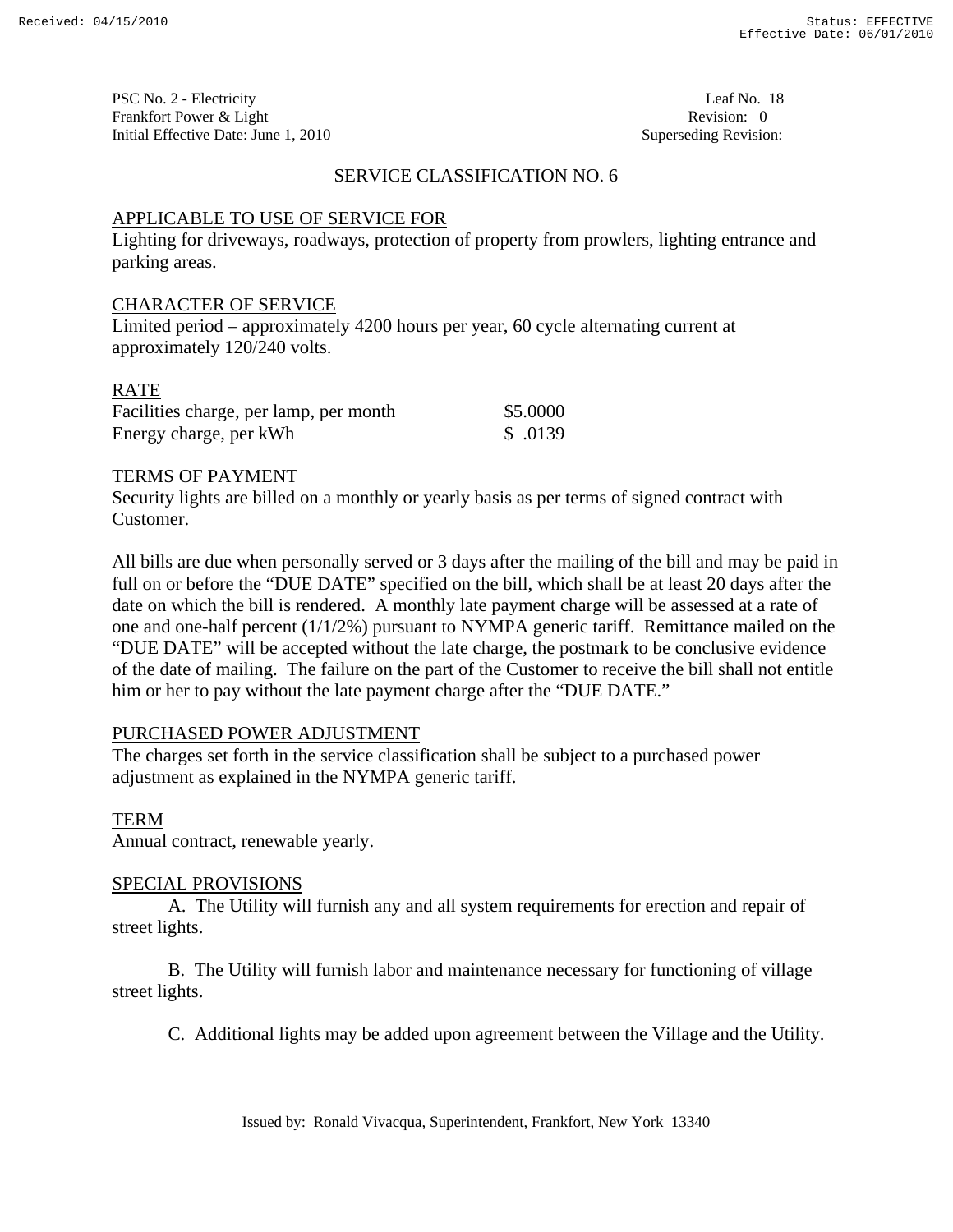PSC No. 2 - Electricity Leaf No. 18 Frankfort Power & Light Revision: 0 Initial Effective Date: June 1, 2010 **Superseding Revision:** Superseding Revision:

## SERVICE CLASSIFICATION NO. 6

## APPLICABLE TO USE OF SERVICE FOR

Lighting for driveways, roadways, protection of property from prowlers, lighting entrance and parking areas.

#### CHARACTER OF SERVICE

Limited period – approximately 4200 hours per year, 60 cycle alternating current at approximately 120/240 volts.

## RATE

| Facilities charge, per lamp, per month | \$5.0000 |
|----------------------------------------|----------|
| Energy charge, per kWh                 | \$.0139  |

#### TERMS OF PAYMENT

Security lights are billed on a monthly or yearly basis as per terms of signed contract with Customer.

All bills are due when personally served or 3 days after the mailing of the bill and may be paid in full on or before the "DUE DATE" specified on the bill, which shall be at least 20 days after the date on which the bill is rendered. A monthly late payment charge will be assessed at a rate of one and one-half percent (1/1/2%) pursuant to NYMPA generic tariff. Remittance mailed on the "DUE DATE" will be accepted without the late charge, the postmark to be conclusive evidence of the date of mailing. The failure on the part of the Customer to receive the bill shall not entitle him or her to pay without the late payment charge after the "DUE DATE."

#### PURCHASED POWER ADJUSTMENT

The charges set forth in the service classification shall be subject to a purchased power adjustment as explained in the NYMPA generic tariff.

#### TERM

Annual contract, renewable yearly.

#### SPECIAL PROVISIONS

 A. The Utility will furnish any and all system requirements for erection and repair of street lights.

 B. The Utility will furnish labor and maintenance necessary for functioning of village street lights.

C. Additional lights may be added upon agreement between the Village and the Utility.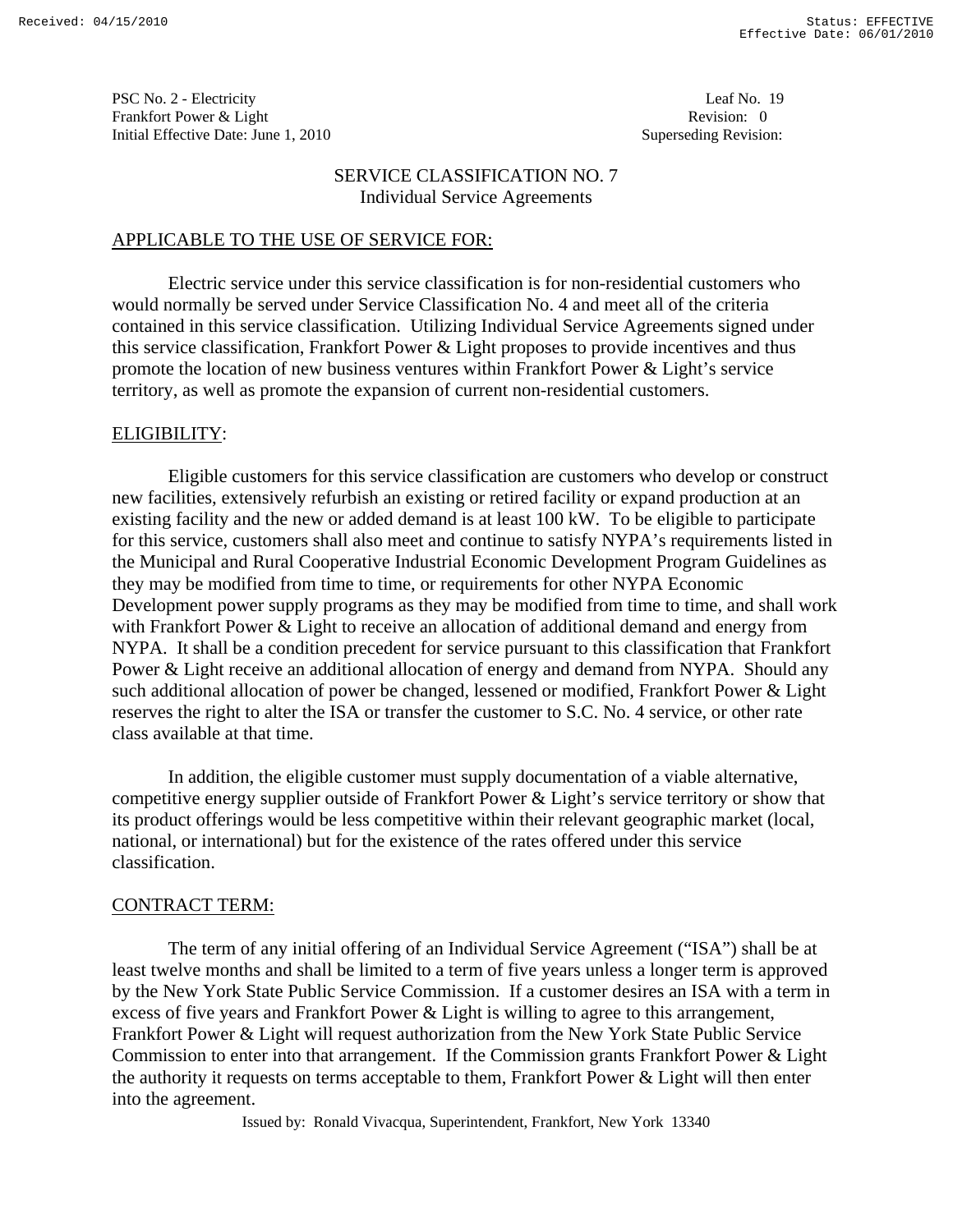PSC No. 2 - Electricity Leaf No. 19 Frankfort Power & Light Revision: 0 Initial Effective Date: June 1, 2010 **Superseding Revision:** Superseding Revision:

## SERVICE CLASSIFICATION NO. 7 Individual Service Agreements

## APPLICABLE TO THE USE OF SERVICE FOR:

 Electric service under this service classification is for non-residential customers who would normally be served under Service Classification No. 4 and meet all of the criteria contained in this service classification. Utilizing Individual Service Agreements signed under this service classification, Frankfort Power & Light proposes to provide incentives and thus promote the location of new business ventures within Frankfort Power & Light's service territory, as well as promote the expansion of current non-residential customers.

## ELIGIBILITY:

 Eligible customers for this service classification are customers who develop or construct new facilities, extensively refurbish an existing or retired facility or expand production at an existing facility and the new or added demand is at least 100 kW. To be eligible to participate for this service, customers shall also meet and continue to satisfy NYPA's requirements listed in the Municipal and Rural Cooperative Industrial Economic Development Program Guidelines as they may be modified from time to time, or requirements for other NYPA Economic Development power supply programs as they may be modified from time to time, and shall work with Frankfort Power & Light to receive an allocation of additional demand and energy from NYPA. It shall be a condition precedent for service pursuant to this classification that Frankfort Power & Light receive an additional allocation of energy and demand from NYPA. Should any such additional allocation of power be changed, lessened or modified, Frankfort Power & Light reserves the right to alter the ISA or transfer the customer to S.C. No. 4 service, or other rate class available at that time.

 In addition, the eligible customer must supply documentation of a viable alternative, competitive energy supplier outside of Frankfort Power & Light's service territory or show that its product offerings would be less competitive within their relevant geographic market (local, national, or international) but for the existence of the rates offered under this service classification.

#### CONTRACT TERM:

 The term of any initial offering of an Individual Service Agreement ("ISA") shall be at least twelve months and shall be limited to a term of five years unless a longer term is approved by the New York State Public Service Commission. If a customer desires an ISA with a term in excess of five years and Frankfort Power & Light is willing to agree to this arrangement, Frankfort Power & Light will request authorization from the New York State Public Service Commission to enter into that arrangement. If the Commission grants Frankfort Power & Light the authority it requests on terms acceptable to them, Frankfort Power & Light will then enter into the agreement.

Issued by: Ronald Vivacqua, Superintendent, Frankfort, New York 13340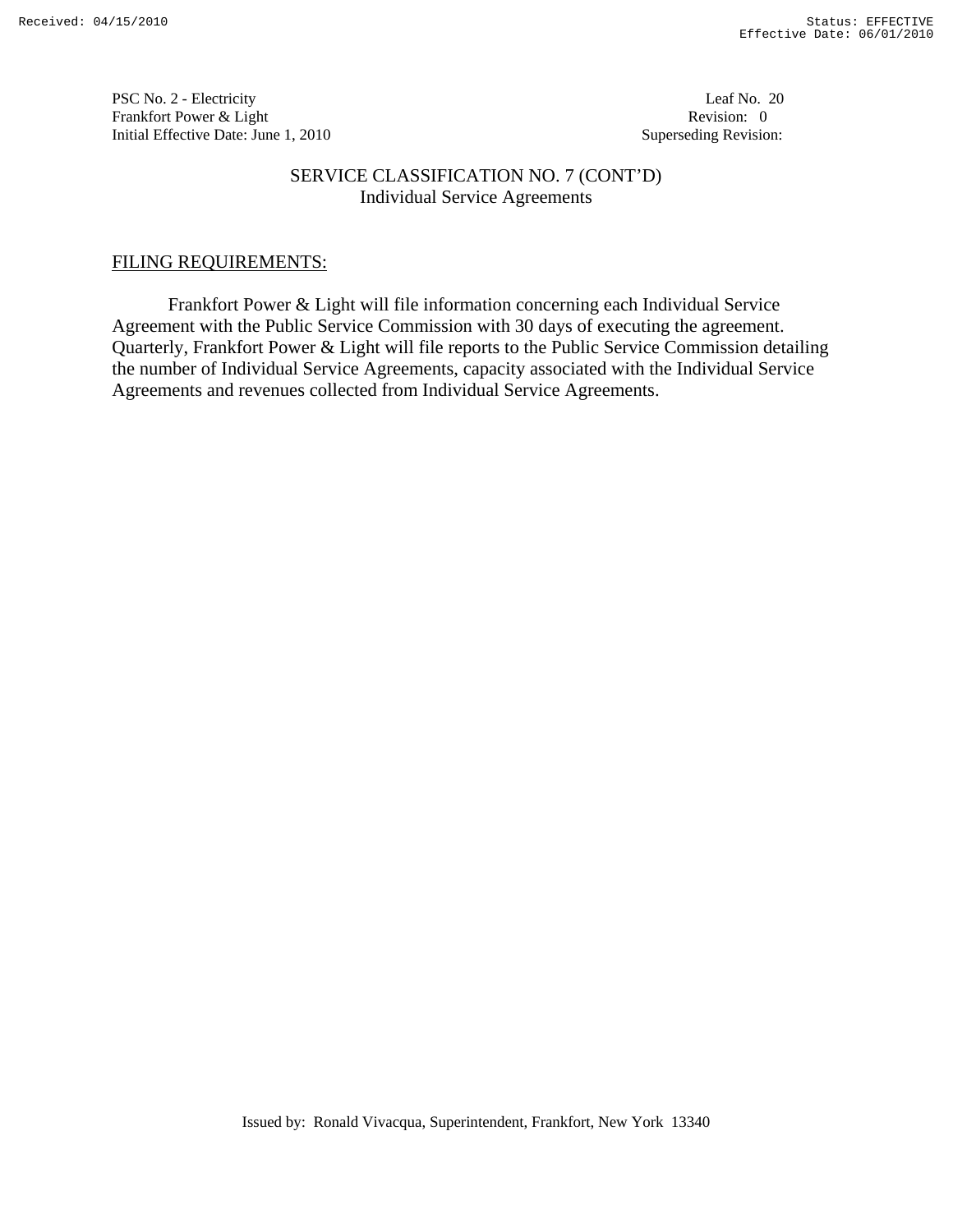PSC No. 2 - Electricity Leaf No. 20 Frankfort Power & Light Revision: 0 Initial Effective Date: June 1, 2010 **Superseding Revision:** Superseding Revision:

## SERVICE CLASSIFICATION NO. 7 (CONT'D) Individual Service Agreements

# FILING REQUIREMENTS:

 Frankfort Power & Light will file information concerning each Individual Service Agreement with the Public Service Commission with 30 days of executing the agreement. Quarterly, Frankfort Power & Light will file reports to the Public Service Commission detailing the number of Individual Service Agreements, capacity associated with the Individual Service Agreements and revenues collected from Individual Service Agreements.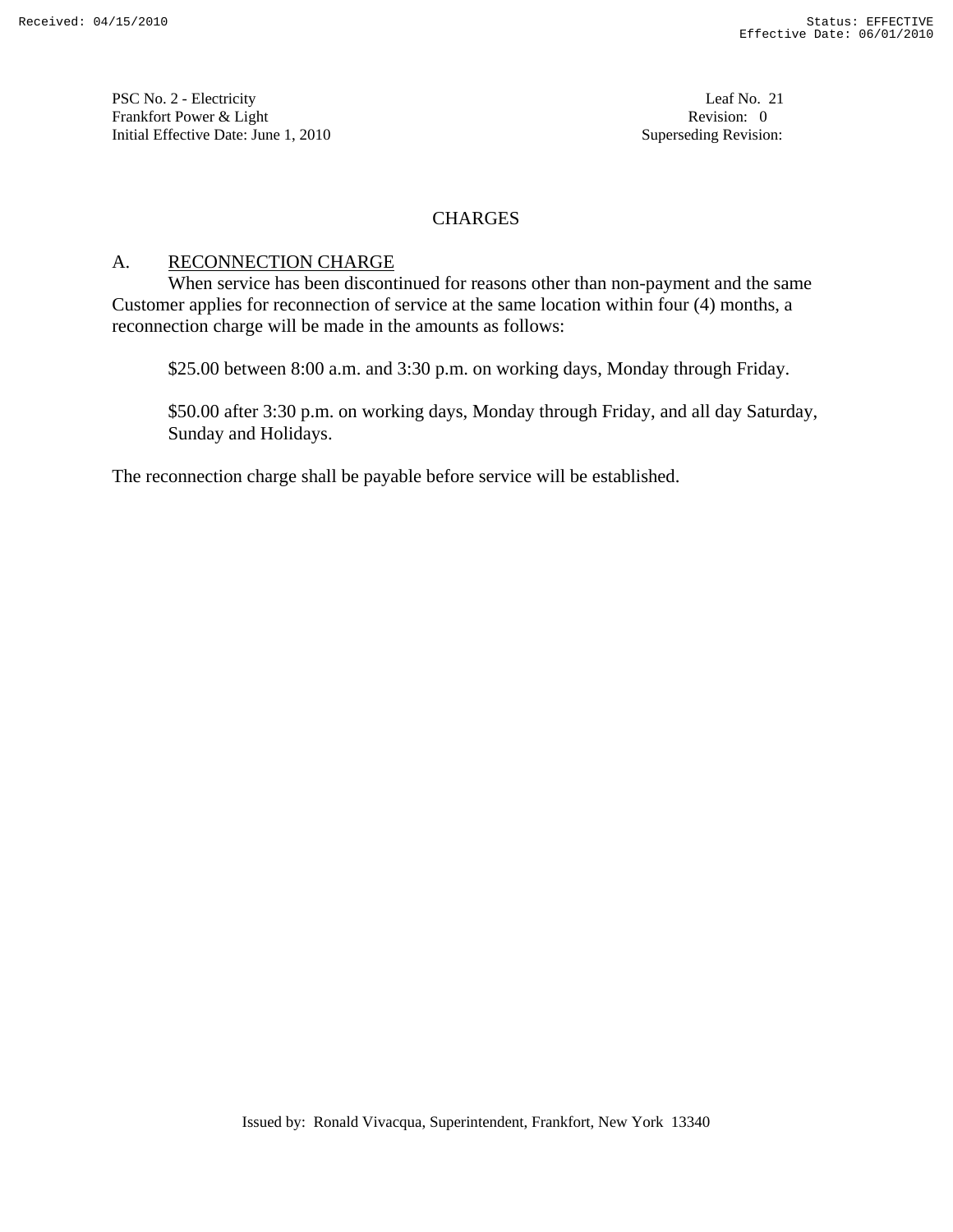PSC No. 2 - Electricity Leaf No. 21 Frankfort Power & Light Revision: 0 Initial Effective Date: June 1, 2010 **Superseding Revision:** Superseding Revision:

# CHARGES

# A. RECONNECTION CHARGE

 When service has been discontinued for reasons other than non-payment and the same Customer applies for reconnection of service at the same location within four (4) months, a reconnection charge will be made in the amounts as follows:

\$25.00 between 8:00 a.m. and 3:30 p.m. on working days, Monday through Friday.

 \$50.00 after 3:30 p.m. on working days, Monday through Friday, and all day Saturday, Sunday and Holidays.

The reconnection charge shall be payable before service will be established.